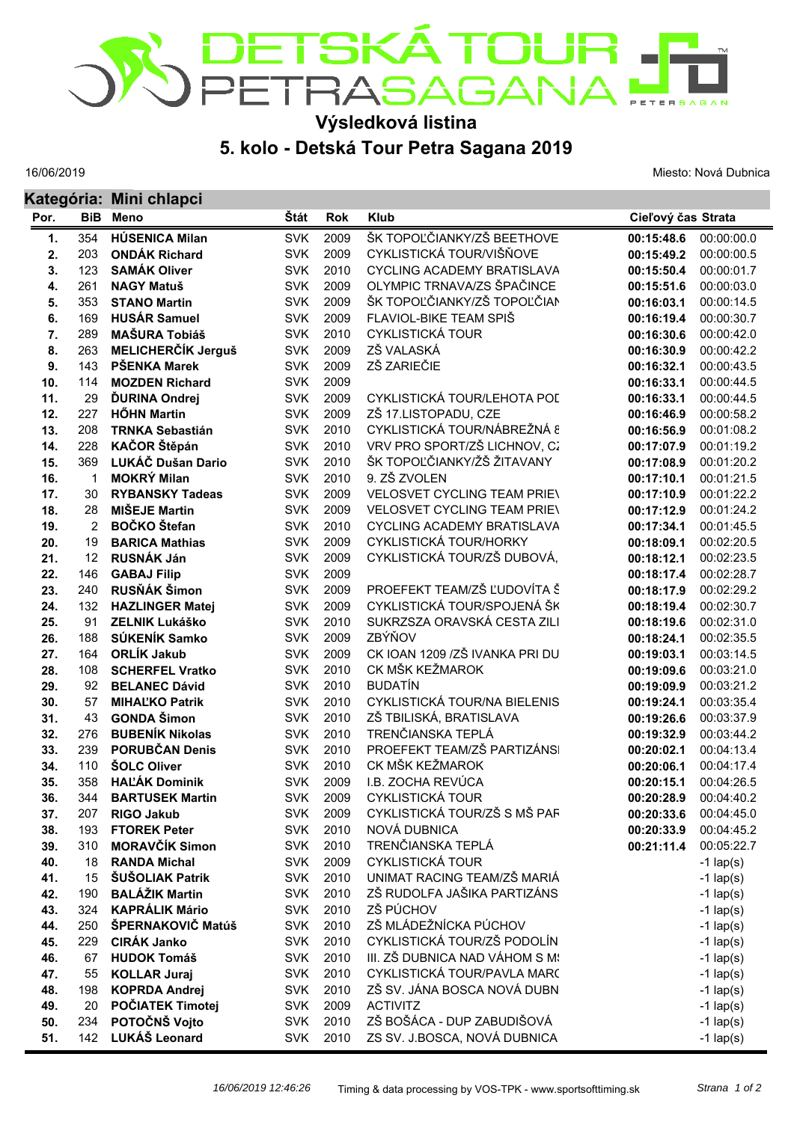

## **5. kolo - Detská Tour Petra Sagana 2019 Výsledková listina**

16/06/2019

Miesto: Nová Dubnica

|            |                | Kategória: Mini chlapci                |                          |              |                                                            |                          |                          |  |  |
|------------|----------------|----------------------------------------|--------------------------|--------------|------------------------------------------------------------|--------------------------|--------------------------|--|--|
| Por.       | <b>BiB</b>     | <b>Meno</b>                            | Štát                     | <b>Rok</b>   | <b>Klub</b>                                                | Cieľový čas Strata       |                          |  |  |
| 1.         | 354            | <b>HÚSENICA Milan</b>                  | <b>SVK</b>               | 2009         | ŠK TOPOĽČIANKY/ZŠ BEETHOVE                                 | 00:15:48.6               | 00:00:00.0               |  |  |
| 2.         | 203            | <b>ONDÁK Richard</b>                   | <b>SVK</b>               | 2009         | CYKLISTICKÁ TOUR/VIŠŇOVE                                   | 00:15:49.2               | 00:00:00.5               |  |  |
| 3.         | 123            | <b>SAMÁK Oliver</b>                    | <b>SVK</b>               | 2010         | <b>CYCLING ACADEMY BRATISLAVA</b>                          | 00:15:50.4               | 00:00:01.7               |  |  |
| 4.         | 261            | <b>NAGY Matuš</b>                      | <b>SVK</b>               | 2009         | OLYMPIC TRNAVA/ZS ŠPAČINCE                                 | 00:15:51.6               | 00:00:03.0               |  |  |
| 5.         | 353            | <b>STANO Martin</b>                    | <b>SVK</b>               | 2009         | ŠK TOPOĽČIANKY/ZŠ TOPOĽČIAN                                | 00:16:03.1               | 00:00:14.5               |  |  |
| 6.         | 169            | <b>HUSÁR Samuel</b>                    | <b>SVK</b>               | 2009         | FLAVIOL-BIKE TEAM SPIŠ                                     | 00:16:19.4               | 00:00:30.7               |  |  |
| 7.         | 289            | <b>MAŠURA Tobiáš</b>                   | <b>SVK</b>               | 2010         | <b>CYKLISTICKÁ TOUR</b>                                    | 00:16:30.6               | 00:00:42.0               |  |  |
| 8.         | 263            | <b>MELICHERČÍK Jerguš</b>              | <b>SVK</b>               | 2009         | ZŠ VALASKÁ                                                 | 00:16:30.9               | 00:00:42.2               |  |  |
| 9.         | 143            | PŠENKA Marek                           | <b>SVK</b>               | 2009         | ZŠ ZARIEČIE                                                | 00:16:32.1               | 00:00:43.5               |  |  |
| 10.        | 114            | <b>MOZDEN Richard</b>                  | <b>SVK</b>               | 2009         |                                                            | 00:16:33.1               | 00:00:44.5               |  |  |
| 11.        | 29             | <b>ĎURINA Ondrej</b>                   | <b>SVK</b>               | 2009         | CYKLISTICKÁ TOUR/LEHOTA POL                                | 00:16:33.1               | 00:00:44.5               |  |  |
| 12.        | 227            | <b>HŐHN Martin</b>                     | <b>SVK</b>               | 2009         | ZŠ 17.LISTOPADU, CZE                                       | 00:16:46.9               | 00:00:58.2               |  |  |
| 13.        | 208            | <b>TRNKA Sebastián</b>                 | <b>SVK</b>               | 2010         | CYKLISTICKÁ TOUR/NÁBREŽNÁ 8                                | 00:16:56.9               | 00:01:08.2               |  |  |
| 14.        | 228            | KAČOR Štěpán                           | <b>SVK</b>               | 2010         | VRV PRO SPORT/ZŠ LICHNOV, CZ                               | 00:17:07.9               | 00:01:19.2               |  |  |
| 15.        | 369            | LUKÁČ Dušan Dario                      | <b>SVK</b>               | 2010         | ŠK TOPOĽČIANKY/ŽŠ ŽITAVANY                                 | 00:17:08.9               | 00:01:20.2               |  |  |
| 16.        | 1              | <b>MOKRÝ Milan</b>                     | <b>SVK</b>               | 2010         | 9. ZŠ ZVOLEN                                               | 00:17:10.1               | 00:01:21.5               |  |  |
| 17.        | 30             | <b>RYBANSKY Tadeas</b>                 | <b>SVK</b>               | 2009         | <b>VELOSVET CYCLING TEAM PRIEV</b>                         | 00:17:10.9               | 00:01:22.2               |  |  |
| 18.        | 28             | <b>MIŠEJE Martin</b>                   | <b>SVK</b>               | 2009         | <b>VELOSVET CYCLING TEAM PRIEV</b>                         | 00:17:12.9               | 00:01:24.2               |  |  |
| 19.        | $\overline{2}$ | <b>BOČKO</b> Štefan                    | <b>SVK</b>               | 2010         | <b>CYCLING ACADEMY BRATISLAVA</b>                          | 00:17:34.1               | 00:01:45.5               |  |  |
| 20.        | 19             | <b>BARICA Mathias</b>                  | <b>SVK</b>               | 2009         | CYKLISTICKÁ TOUR/HORKY                                     | 00:18:09.1               | 00:02:20.5               |  |  |
| 21.        | 12             | <b>RUSNÁK Ján</b>                      | <b>SVK</b>               | 2009         | CYKLISTICKÁ TOUR/ZŠ DUBOVÁ,                                | 00:18:12.1               | 00:02:23.5               |  |  |
| 22.        | 146            | <b>GABAJ Filip</b>                     | <b>SVK</b>               | 2009         |                                                            | 00:18:17.4               | 00:02:28.7               |  |  |
| 23.        | 240            | RUSŇÁK Šimon                           | <b>SVK</b>               | 2009         | PROEFEKT TEAM/ZŠ ĽUDOVÍTA Š<br>CYKLISTICKÁ TOUR/SPOJENÁ ŠK | 00:18:17.9               | 00:02:29.2               |  |  |
| 24.        | 132            | <b>HAZLINGER Matej</b>                 | <b>SVK</b><br><b>SVK</b> | 2009<br>2010 | SUKRZSZA ORAVSKÁ CESTA ZILI                                | 00:18:19.4               | 00:02:30.7               |  |  |
| 25.<br>26. | 91<br>188      | <b>ZELNIK Lukáško</b><br>SÚKENÍK Samko | <b>SVK</b>               | 2009         | ZBÝŇOV                                                     | 00:18:19.6<br>00:18:24.1 | 00:02:31.0<br>00:02:35.5 |  |  |
| 27.        | 164            | <b>ORLÍK Jakub</b>                     | <b>SVK</b>               | 2009         | CK IOAN 1209 / ZŠ IVANKA PRI DU                            | 00:19:03.1               | 00:03:14.5               |  |  |
| 28.        | 108            | <b>SCHERFEL Vratko</b>                 | <b>SVK</b>               | 2010         | CK MŠK KEŽMAROK                                            | 00:19:09.6               | 00:03:21.0               |  |  |
| 29.        | 92             | <b>BELANEC Dávid</b>                   | <b>SVK</b>               | 2010         | <b>BUDATÍN</b>                                             | 00:19:09.9               | 00:03:21.2               |  |  |
| 30.        | 57             | <b>MIHALKO Patrik</b>                  | <b>SVK</b>               | 2010         | CYKLISTICKÁ TOUR/NA BIELENIS                               | 00:19:24.1               | 00:03:35.4               |  |  |
| 31.        | 43             | <b>GONDA Šimon</b>                     | <b>SVK</b>               | 2010         | ZŠ TBILISKÁ, BRATISLAVA                                    | 00:19:26.6               | 00:03:37.9               |  |  |
| 32.        | 276            | <b>BUBENÍK Nikolas</b>                 | <b>SVK</b>               | 2010         | TRENČIANSKA TEPLÁ                                          | 00:19:32.9               | 00:03:44.2               |  |  |
| 33.        | 239            | <b>PORUBČAN Denis</b>                  | <b>SVK</b>               | 2010         | PROEFEKT TEAM/ZŠ PARTIZÁNSI                                | 00:20:02.1               | 00:04:13.4               |  |  |
| 34.        | 110            | <b>ŠOLC Oliver</b>                     | <b>SVK</b>               | 2010         | CK MŠK KEŽMAROK                                            | 00:20:06.1               | 00:04:17.4               |  |  |
| 35.        | 358            | <b>HALÁK Dominik</b>                   | <b>SVK</b>               | 2009         | I.B. ZOCHA REVÚCA                                          | 00:20:15.1               | 00:04:26.5               |  |  |
| 36.        | 344            | <b>BARTUSEK Martin</b>                 | <b>SVK</b>               | 2009         | <b>CYKLISTICKÁ TOUR</b>                                    | 00:20:28.9               | 00:04:40.2               |  |  |
| 37.        | 207            | <b>RIGO Jakub</b>                      | <b>SVK</b>               | 2009         | CYKLISTICKÁ TOUR/ZŠ S MŠ PAF                               | 00:20:33.6               | 00:04:45.0               |  |  |
| 38.        | 193            | <b>FTOREK Peter</b>                    | <b>SVK</b>               | 2010         | NOVÁ DUBNICA                                               | 00:20:33.9               | 00:04:45.2               |  |  |
| 39.        | 310            | <b>MORAVČÍK Simon</b>                  | <b>SVK</b>               | 2010         | TRENČIANSKA TEPLÁ                                          | 00:21:11.4               | 00:05:22.7               |  |  |
| 40.        | 18             | <b>RANDA Michal</b>                    | <b>SVK</b>               | 2009         | <b>CYKLISTICKÁ TOUR</b>                                    |                          | $-1$ lap(s)              |  |  |
| 41.        | 15             | ŠUŠOLIAK Patrik                        | <b>SVK</b>               | 2010         | UNIMAT RACING TEAM/ZŠ MARIÁ                                |                          | $-1$ lap(s)              |  |  |
| 42.        | 190            | <b>BALÁŽIK Martin</b>                  | <b>SVK</b>               | 2010         | ZŠ RUDOLFA JAŠIKA PARTIZÁNS                                |                          | $-1$ lap(s)              |  |  |
| 43.        | 324            | <b>KAPRÁLIK Mário</b>                  | <b>SVK</b>               | 2010         | ZŠ PÚCHOV                                                  |                          | $-1$ lap(s)              |  |  |
| 44.        | 250            | ŠPERNAKOVIČ Matúš                      | <b>SVK</b>               | 2010         | ZŠ MLÁDEŽNÍCKA PÚCHOV                                      |                          | $-1$ lap(s)              |  |  |
| 45.        | 229            | <b>CIRÁK Janko</b>                     | <b>SVK</b>               | 2010         | CYKLISTICKÁ TOUR/ZŠ PODOLÍN                                |                          | $-1$ lap(s)              |  |  |
| 46.        | 67             | <b>HUDOK Tomáš</b>                     | <b>SVK</b>               | 2010         | III. ZŠ DUBNICA NAD VÁHOM S M!                             |                          | $-1$ lap(s)              |  |  |
| 47.        | 55             | <b>KOLLAR Juraj</b>                    | <b>SVK</b>               | 2010         | CYKLISTICKÁ TOUR/PAVLA MARC                                |                          | $-1$ lap(s)              |  |  |
| 48.        | 198            | <b>KOPRDA Andrej</b>                   | <b>SVK</b>               | 2010         | ZŠ SV. JÁNA BOSCA NOVÁ DUBN                                |                          | $-1$ lap(s)              |  |  |
| 49.        | 20             | POČIATEK Timotej                       | <b>SVK</b>               | 2009         | <b>ACTIVITZ</b>                                            |                          | $-1$ lap(s)              |  |  |
| 50.        | 234            | POTOČNŠ Vojto                          | <b>SVK</b>               | 2010         | ZŠ BOŠÁCA - DUP ZABUDIŠOVÁ                                 |                          | $-1$ lap(s)              |  |  |
| 51.        | 142            | LUKÁŠ Leonard                          | <b>SVK</b>               | 2010         | ZS SV. J.BOSCA, NOVÁ DUBNICA                               |                          | $-1$ lap(s)              |  |  |